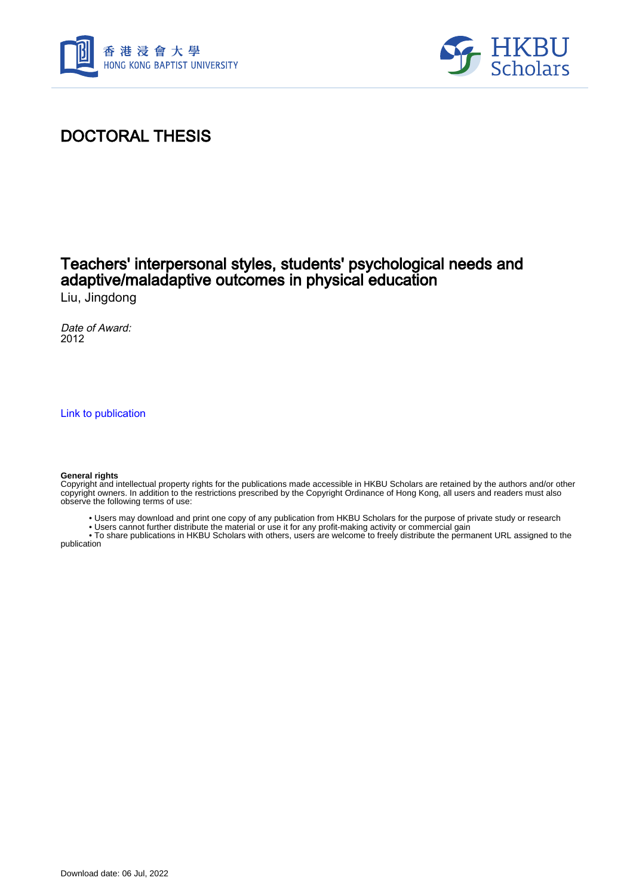



## DOCTORAL THESIS

# Teachers' interpersonal styles, students' psychological needs and adaptive/maladaptive outcomes in physical education

Liu, Jingdong

Date of Award: 2012

[Link to publication](https://scholars.hkbu.edu.hk/en/studentTheses/2dfc1b1b-fca9-48a8-9737-35880179ed29)

#### **General rights**

Copyright and intellectual property rights for the publications made accessible in HKBU Scholars are retained by the authors and/or other copyright owners. In addition to the restrictions prescribed by the Copyright Ordinance of Hong Kong, all users and readers must also observe the following terms of use:

- Users may download and print one copy of any publication from HKBU Scholars for the purpose of private study or research
- Users cannot further distribute the material or use it for any profit-making activity or commercial gain

 • To share publications in HKBU Scholars with others, users are welcome to freely distribute the permanent URL assigned to the publication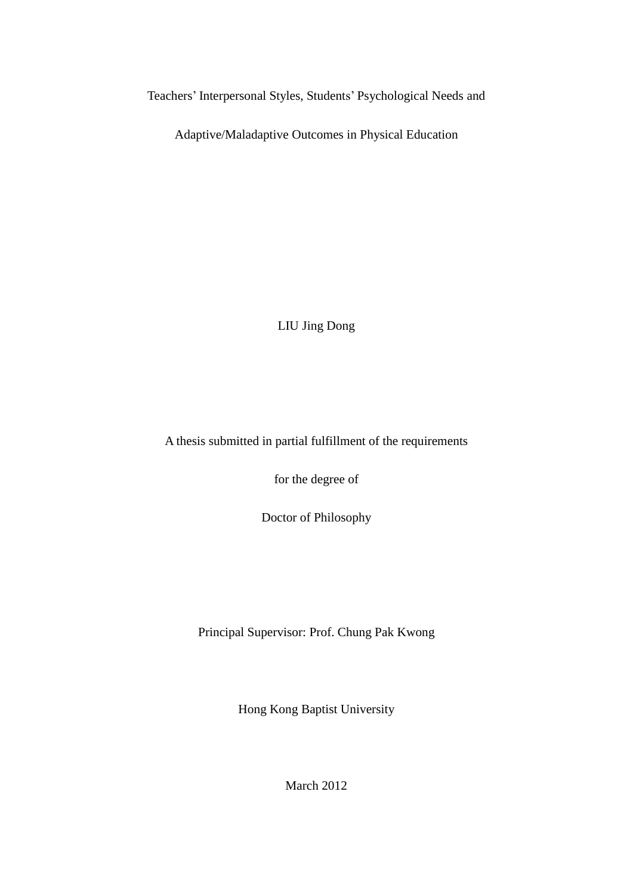Teachers' Interpersonal Styles, Students' Psychological Needs and

Adaptive/Maladaptive Outcomes in Physical Education

LIU Jing Dong

A thesis submitted in partial fulfillment of the requirements

for the degree of

Doctor of Philosophy

Principal Supervisor: Prof. Chung Pak Kwong

Hong Kong Baptist University

March 2012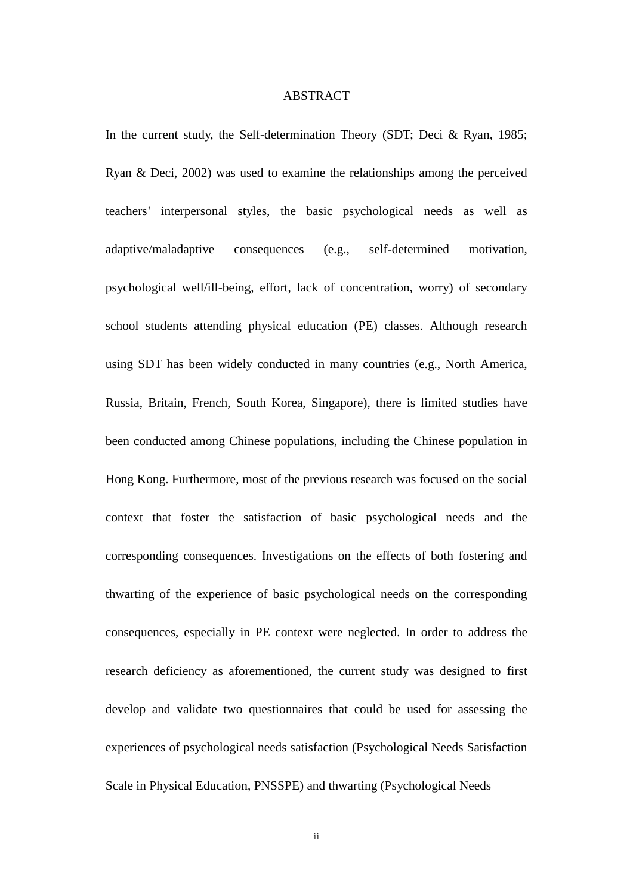### ABSTRACT

In the current study, the Self-determination Theory (SDT; Deci & Ryan, 1985; Ryan & Deci, 2002) was used to examine the relationships among the perceived teachers' interpersonal styles, the basic psychological needs as well as adaptive/maladaptive consequences (e.g., self-determined motivation, psychological well/ill-being, effort, lack of concentration, worry) of secondary school students attending physical education (PE) classes. Although research using SDT has been widely conducted in many countries (e.g., North America, Russia, Britain, French, South Korea, Singapore), there is limited studies have been conducted among Chinese populations, including the Chinese population in Hong Kong. Furthermore, most of the previous research was focused on the social context that foster the satisfaction of basic psychological needs and the corresponding consequences. Investigations on the effects of both fostering and thwarting of the experience of basic psychological needs on the corresponding consequences, especially in PE context were neglected. In order to address the research deficiency as aforementioned, the current study was designed to first develop and validate two questionnaires that could be used for assessing the experiences of psychological needs satisfaction (Psychological Needs Satisfaction Scale in Physical Education, PNSSPE) and thwarting (Psychological Needs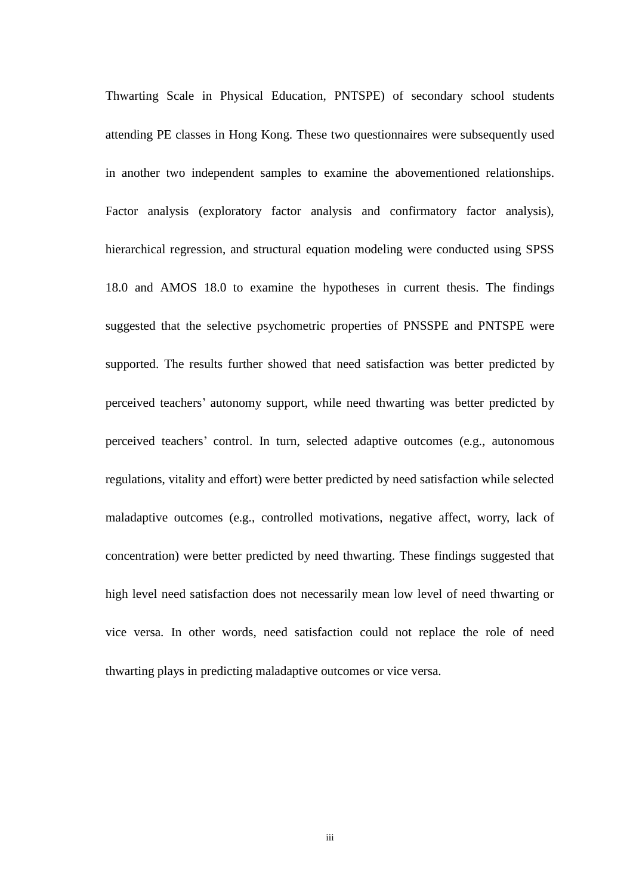Thwarting Scale in Physical Education, PNTSPE) of secondary school students attending PE classes in Hong Kong. These two questionnaires were subsequently used in another two independent samples to examine the abovementioned relationships. Factor analysis (exploratory factor analysis and confirmatory factor analysis), hierarchical regression, and structural equation modeling were conducted using SPSS 18.0 and AMOS 18.0 to examine the hypotheses in current thesis. The findings suggested that the selective psychometric properties of PNSSPE and PNTSPE were supported. The results further showed that need satisfaction was better predicted by perceived teachers' autonomy support, while need thwarting was better predicted by perceived teachers' control. In turn, selected adaptive outcomes (e.g., autonomous regulations, vitality and effort) were better predicted by need satisfaction while selected maladaptive outcomes (e.g., controlled motivations, negative affect, worry, lack of concentration) were better predicted by need thwarting. These findings suggested that high level need satisfaction does not necessarily mean low level of need thwarting or vice versa. In other words, need satisfaction could not replace the role of need thwarting plays in predicting maladaptive outcomes or vice versa.